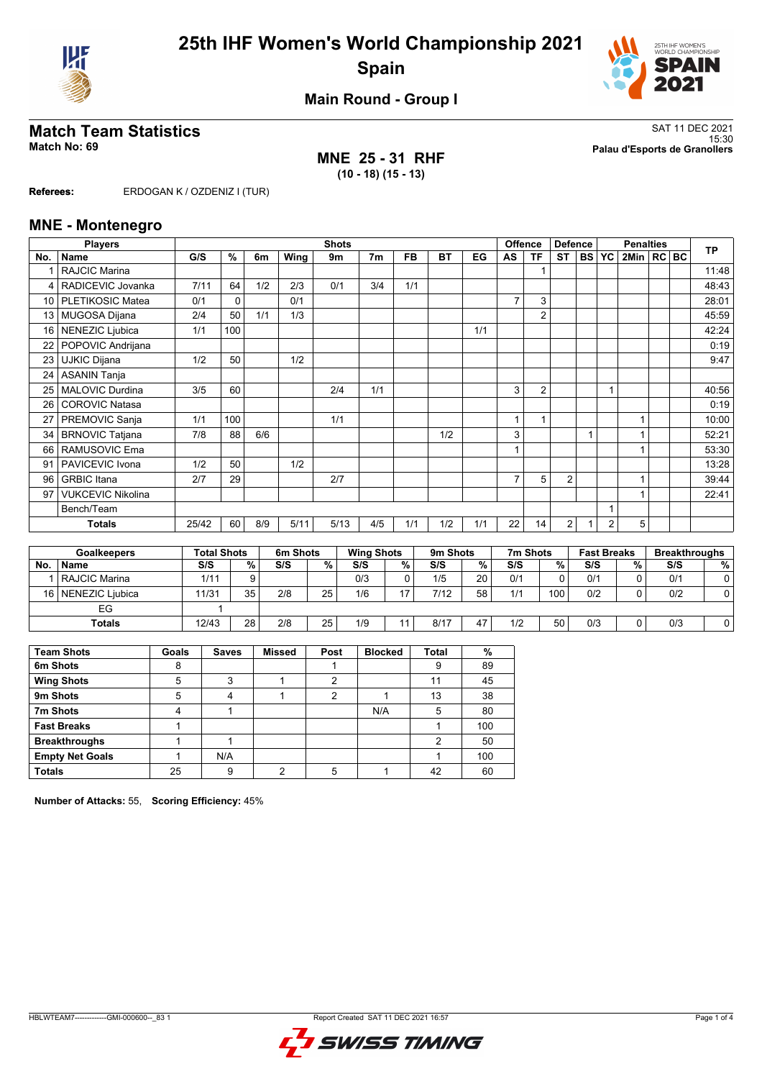



**Main Round - Group I**

**MNE 25 - 31 RHF (10 - 18) (15 - 13)**

**Match Team Statistics** SAT 11 DEC 2021 15:30 **Match No: 69 Palau d'Esports de Granollers**

**Referees:** ERDOGAN K / OZDENIZ I (TUR)

### **MNE - Montenegro**

|                 | <b>Players</b>           |       | <b>Shots</b>       |     |          |      |                   |           |          |     |    |                | <b>Offence</b><br><b>Defence</b> |           | <b>Penalties</b>   |              |  |  | <b>TP</b>            |
|-----------------|--------------------------|-------|--------------------|-----|----------|------|-------------------|-----------|----------|-----|----|----------------|----------------------------------|-----------|--------------------|--------------|--|--|----------------------|
| No.             | <b>Name</b>              | G/S   | %                  | 6m  | Wing     | 9m   | 7m                | <b>FB</b> | BT       | EG  | AS | <b>TF</b>      | ST                               | <b>BS</b> | YC                 | 2Min   RC BC |  |  |                      |
|                 | <b>RAJCIC Marina</b>     |       |                    |     |          |      |                   |           |          |     |    | 1              |                                  |           |                    |              |  |  | 11:48                |
|                 | RADICEVIC Jovanka        | 7/11  | 64                 | 1/2 | 2/3      | 0/1  | 3/4               | 1/1       |          |     |    |                |                                  |           |                    |              |  |  | 48:43                |
| 10 <sup>1</sup> | PLETIKOSIC Matea         | 0/1   | 0                  |     | 0/1      |      |                   |           |          |     | 7  | 3              |                                  |           |                    |              |  |  | 28:01                |
| 13 <sup>1</sup> | <b>MUGOSA Dijana</b>     | 2/4   | 50                 | 1/1 | 1/3      |      |                   |           |          |     |    | $\overline{2}$ |                                  |           |                    |              |  |  | 45:59                |
| 16 <sup>1</sup> | NENEZIC Ljubica          | 1/1   | 100                |     |          |      |                   |           |          | 1/1 |    |                |                                  |           |                    |              |  |  | 42:24                |
| 22              | POPOVIC Andrijana        |       |                    |     |          |      |                   |           |          |     |    |                |                                  |           |                    |              |  |  | 0:19                 |
| 23              | <b>UJKIC Dijana</b>      | 1/2   | 50                 |     | 1/2      |      |                   |           |          |     |    |                |                                  |           |                    |              |  |  | 9:47                 |
| 24              | <b>ASANIN Tanja</b>      |       |                    |     |          |      |                   |           |          |     |    |                |                                  |           |                    |              |  |  |                      |
| 25              | MALOVIC Durdina          | 3/5   | 60                 |     |          | 2/4  | 1/1               |           |          |     | 3  | $\overline{2}$ |                                  |           |                    |              |  |  | 40:56                |
| 26              | <b>COROVIC Natasa</b>    |       |                    |     |          |      |                   |           |          |     |    |                |                                  |           |                    |              |  |  | 0:19                 |
| 27              | PREMOVIC Sanja           | 1/1   | 100                |     |          | 1/1  |                   |           |          |     |    | 1              |                                  |           |                    | 1            |  |  | 10:00                |
| 34              | <b>BRNOVIC Tatjana</b>   | 7/8   | 88                 | 6/6 |          |      |                   |           | 1/2      |     | 3  |                |                                  | 1         |                    |              |  |  | 52:21                |
| 66              | RAMUSOVIC Ema            |       |                    |     |          |      |                   |           |          |     |    |                |                                  |           |                    |              |  |  | 53:30                |
| 91              | PAVICEVIC Ivona          | 1/2   | 50                 |     | 1/2      |      |                   |           |          |     |    |                |                                  |           |                    |              |  |  | 13:28                |
| 96              | <b>GRBIC</b> Itana       | 2/7   | 29                 |     |          | 2/7  |                   |           |          |     |    | 5              | $\overline{2}$                   |           |                    | 1            |  |  | 39:44                |
| 97              | <b>VUKCEVIC Nikolina</b> |       |                    |     |          |      |                   |           |          |     |    |                |                                  |           |                    | 1            |  |  | 22:41                |
|                 | Bench/Team               |       |                    |     |          |      |                   |           |          |     |    |                |                                  |           |                    |              |  |  |                      |
|                 | <b>Totals</b>            | 25/42 | 60                 | 8/9 | 5/11     | 5/13 | 4/5               | 1/1       | 1/2      | 1/1 | 22 | 14             | $\overline{2}$                   | 1         | 2                  | 5            |  |  |                      |
|                 |                          |       |                    |     |          |      |                   |           |          |     |    |                |                                  |           |                    |              |  |  |                      |
|                 | <b>Goalkeepers</b>       |       | <b>Total Shots</b> |     | 6m Shots |      | <b>Wing Shots</b> |           | 9m Shots |     |    | 7m Shots       |                                  |           | <b>Fast Breaks</b> |              |  |  | <b>Breakthroughs</b> |

|                 |                 | <b>Goalkeepers</b><br>Total Shots |    |     | om Snots | <b>WING SHOTS</b> |   | <b>9m Snots</b> |    | <i>I'</i> m Shots |      | rast Breaks |   | <b>Breakthroughs</b> |   |
|-----------------|-----------------|-----------------------------------|----|-----|----------|-------------------|---|-----------------|----|-------------------|------|-------------|---|----------------------|---|
| No.             | <b>Name</b>     | S/S                               | %. | S/S | %        | S/S               | % | S/S             | %  | S/S               | %    | S/S         | % | S/S                  | % |
|                 | RAJCIC Marina   | 1/11                              |    |     |          | 0/3               |   | 1/5             | 20 | 0/1               |      | 0/1         |   | 0/1                  |   |
| 16 <sup>1</sup> | NENEZIC Liubica | 11/31                             | 35 | 2/8 | 25       | 1/6               |   | 7/12            | 58 | 1/1               | 100. | 0/2         |   | 0/2                  |   |
|                 | EG              |                                   |    |     |          |                   |   |                 |    |                   |      |             |   |                      |   |
|                 | Totals          | 12/43                             | 28 | 2/8 | 25       | 1/9               |   | 8/17            | 47 | 1/2               | 50   | 0/3         |   | 0/3                  |   |

| <b>Team Shots</b>      | Goals | <b>Saves</b> | <b>Missed</b> | Post | <b>Blocked</b> | <b>Total</b> | %   |
|------------------------|-------|--------------|---------------|------|----------------|--------------|-----|
| 6m Shots               | 8     |              |               |      |                | 9            | 89  |
| <b>Wing Shots</b>      | 5     | 3            |               | 2    |                | 11           | 45  |
| 9m Shots               | 5     |              |               | 2    |                | 13           | 38  |
| 7m Shots               |       |              |               |      | N/A            | 5            | 80  |
| <b>Fast Breaks</b>     |       |              |               |      |                |              | 100 |
| <b>Breakthroughs</b>   |       |              |               |      |                | 2            | 50  |
| <b>Empty Net Goals</b> |       | N/A          |               |      |                |              | 100 |
| <b>Totals</b>          | 25    | 9            | ∩             |      |                | 42           | 60  |

**Number of Attacks:** 55, **Scoring Efficiency:** 45%

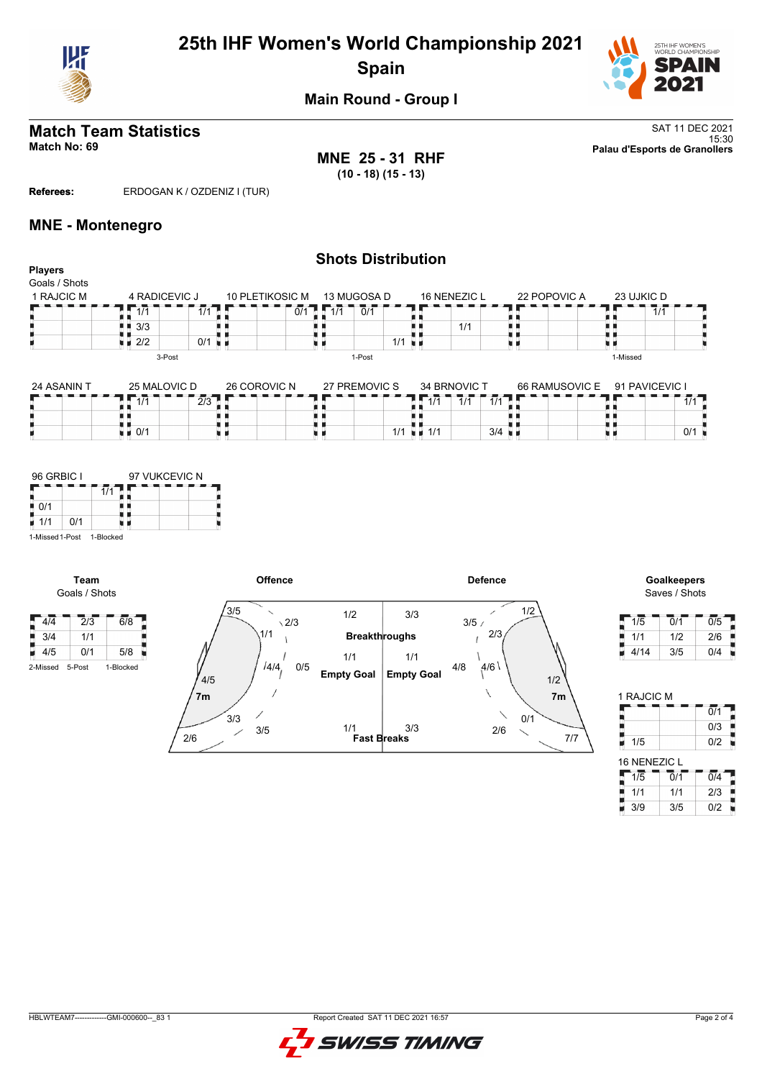

# **25th IHF Women's World Championship 2021 Spain**



## **Main Round - Group I**

# **Match Team Statistics** SAT 11 DEC 2021

**MNE 25 - 31 RHF (10 - 18) (15 - 13)**

**Shots Distribution**

15:30 **Match No: 69 Palau d'Esports de Granollers**

### **Referees:** ERDOGAN K / OZDENIZ I (TUR)

### **MNE - Montenegro**

| <b>Players</b><br>Goals / Shots |                                          |              |                 |                     |                         |                |                |     |
|---------------------------------|------------------------------------------|--------------|-----------------|---------------------|-------------------------|----------------|----------------|-----|
| 1 RAJCIC M                      | 4 RADICEVIC J                            |              | 10 PLETIKOSIC M | 13 MUGOSA D         | <b>16 NENEZIC L</b>     | 22 POPOVIC A   | 23 UJKIC D     |     |
|                                 | 1/1<br>$\blacksquare$ $\blacksquare$ 3/3 | 1/1          | 1/1<br>0/1      | 0/1                 | 1/1                     |                | 1/1            |     |
|                                 | $\blacksquare$ 2/2<br>3-Post             | $0/1$ u m    |                 | 1/1<br>XК<br>1-Post |                         |                | 1-Missed       |     |
| 24 ASANIN T                     | 25 MALOVIC D                             | 26 COROVIC N |                 | 27 PREMOVIC S       | 34 BRNOVIC T            | 66 RAMUSOVIC E | 91 PAVICEVIC I |     |
|                                 | 1/1                                      | 2/3          |                 | $1\overline{11}$    | $\overline{1/1}$<br>1/1 |                |                | 1/1 |

88

| 1/1 | 1/1 | 3/4



**Team**

 $\begin{array}{|c|c|c|}\n\hline\n3/4 & 1/1 \\
\hline\n4/5 & 0/1\n\end{array}$ 

 $\frac{1}{2}$   $\frac{1}{0/1}$ 

9



Saves / Shots

 $0/1$ 

9

| 1/5  | 0/1 | 0/5 |
|------|-----|-----|
| 1/1  | 1/2 | 2/6 |
| 4/14 | 3/5 | 0/4 |

| 1 RAJCIC M       |                             |                  |
|------------------|-----------------------------|------------------|
|                  |                             | $\overline{0/1}$ |
|                  |                             | 0/3              |
| 1/5              |                             | 0/2              |
| 16 NENEZIC L     |                             |                  |
| $1\overline{.}5$ | $\overline{0}/\overline{1}$ | $\overline{0/4}$ |
| 1/1              | 1/1                         | 2/3              |
| 3/9              | 3/5                         | 0/2              |

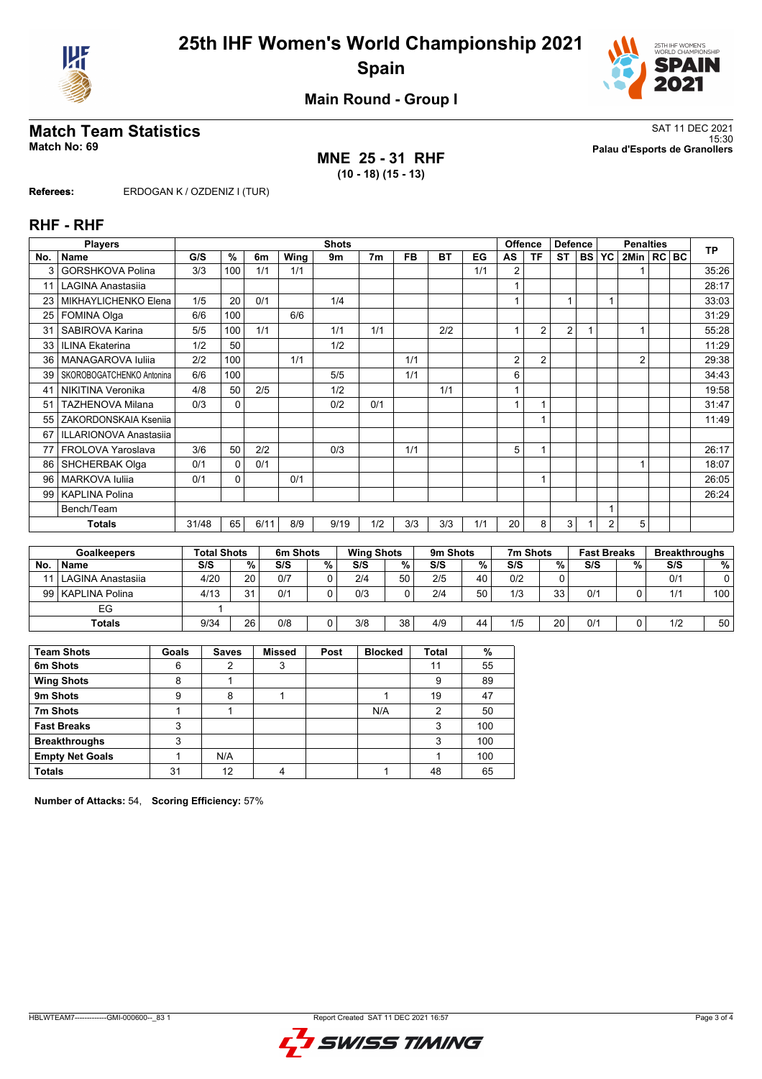



**Main Round - Group I**

## **MNE 25 - 31 RHF (10 - 18) (15 - 13)**

**Match Team Statistics** SAT 11 DEC 2021 15:30 **Match No: 69 Palau d'Esports de Granollers**

**Referees:** ERDOGAN K / OZDENIZ I (TUR)

### **RHF - RHF**

|     | <b>Players</b>                |       |          |      |      | <b>Shots</b> |                |           |           |     |    | <b>Offence</b> | <b>Defence</b> |        |                | <b>Penalties</b> |  | <b>TP</b> |
|-----|-------------------------------|-------|----------|------|------|--------------|----------------|-----------|-----------|-----|----|----------------|----------------|--------|----------------|------------------|--|-----------|
| No. | Name                          | G/S   | %        | 6m   | Wing | 9m           | 7 <sub>m</sub> | <b>FB</b> | <b>BT</b> | EG  | AS | ΤF             | <b>ST</b>      | I BS I | <b>YC</b>      | 2Min   RC   BC   |  |           |
| 3   | GORSHKOVA Polina              | 3/3   | 100      | 1/1  | 1/1  |              |                |           |           | 1/1 | 2  |                |                |        |                |                  |  | 35:26     |
| 11  | LAGINA Anastasiia             |       |          |      |      |              |                |           |           |     |    |                |                |        |                |                  |  | 28:17     |
| 23  | MIKHAYLICHENKO Elena          | 1/5   | 20       | 0/1  |      | 1/4          |                |           |           |     |    |                |                |        |                |                  |  | 33:03     |
| 25  | <b>FOMINA Olga</b>            | 6/6   | 100      |      | 6/6  |              |                |           |           |     |    |                |                |        |                |                  |  | 31:29     |
| 31  | SABIROVA Karina               | 5/5   | 100      | 1/1  |      | 1/1          | 1/1            |           | 2/2       |     |    | $\overline{2}$ | $\overline{2}$ |        |                |                  |  | 55:28     |
| 33  | <b>ILINA Ekaterina</b>        | 1/2   | 50       |      |      | 1/2          |                |           |           |     |    |                |                |        |                |                  |  | 11:29     |
| 36  | MANAGAROVA Iuliia             | 2/2   | 100      |      | 1/1  |              |                | 1/1       |           |     | 2  | $\overline{2}$ |                |        |                | $\overline{2}$   |  | 29:38     |
| 39  | SKOROBOGATCHENKO Antonina     | 6/6   | 100      |      |      | 5/5          |                | 1/1       |           |     | 6  |                |                |        |                |                  |  | 34:43     |
| 41  | NIKITINA Veronika             | 4/8   | 50       | 2/5  |      | 1/2          |                |           | 1/1       |     |    |                |                |        |                |                  |  | 19:58     |
| 51  | <b>TAZHENOVA Milana</b>       | 0/3   | 0        |      |      | 0/2          | 0/1            |           |           |     |    |                |                |        |                |                  |  | 31:47     |
| 55  | ZAKORDONSKAIA Ksenija         |       |          |      |      |              |                |           |           |     |    |                |                |        |                |                  |  | 11:49     |
| 67  | <b>ILLARIONOVA Anastasiia</b> |       |          |      |      |              |                |           |           |     |    |                |                |        |                |                  |  |           |
| 77  | FROLOVA Yaroslava             | 3/6   | 50       | 2/2  |      | 0/3          |                | 1/1       |           |     | 5  |                |                |        |                |                  |  | 26:17     |
| 86  | <b>SHCHERBAK Olga</b>         | 0/1   | $\Omega$ | 0/1  |      |              |                |           |           |     |    |                |                |        |                |                  |  | 18:07     |
| 96  | <b>MARKOVA Iuliia</b>         | 0/1   | 0        |      | 0/1  |              |                |           |           |     |    |                |                |        |                |                  |  | 26:05     |
| 99  | <b>KAPLINA Polina</b>         |       |          |      |      |              |                |           |           |     |    |                |                |        |                |                  |  | 26:24     |
|     | Bench/Team                    |       |          |      |      |              |                |           |           |     |    |                |                |        |                |                  |  |           |
|     | Totals                        | 31/48 | 65       | 6/11 | 8/9  | 9/19         | 1/2            | 3/3       | 3/3       | 1/1 | 20 | 8              | 3              |        | $\overline{2}$ | 5                |  |           |

|    | <b>Goalkeepers</b>     | <b>Total Shots</b> |    | 6m Shots |        | <b>Wing Shots</b> |    | 9 <sub>m</sub> Shots |    | 7m Shots |    | <b>Fast Breaks</b> |   | <b>Breakthroughs</b> |                 |
|----|------------------------|--------------------|----|----------|--------|-------------------|----|----------------------|----|----------|----|--------------------|---|----------------------|-----------------|
| No | Name                   | S/S                | %. | S/S      | %      | S/S               | %  | S/S                  | %  | S/S      | %  | S/S                | % | S/S                  | %               |
|    | 11   LAGINA Anastasija | 4/20               | 20 | 0/7      |        | 2/4               | 50 | 2/5                  | 40 | 0/2      |    |                    |   | 0/1                  |                 |
|    | 99   KAPLINA Polina    | 4/13               | 31 | 0/1      |        | 0/3               | n  | 2/4                  | 50 | 1/3      | 33 | 0/1                |   | 1/1                  | 100             |
|    | EG                     |                    |    |          |        |                   |    |                      |    |          |    |                    |   |                      |                 |
|    | <b>Totals</b>          | 9/34               | 26 | 0/8      | $\sim$ | 3/8               | 38 | 4/9                  | 44 | 1/5      | 20 | 0/1                |   | 1/2                  | 50 <sub>1</sub> |

| <b>Team Shots</b>      | Goals | <b>Saves</b> | <b>Missed</b> | Post | <b>Blocked</b> | <b>Total</b> | %   |
|------------------------|-------|--------------|---------------|------|----------------|--------------|-----|
| 6m Shots               | 6     | 2            | 3             |      |                | 11           | 55  |
| <b>Wing Shots</b>      | 8     |              |               |      |                | 9            | 89  |
| 9m Shots               | 9     | 8            |               |      |                | 19           | 47  |
| 7m Shots               |       |              |               |      | N/A            | 2            | 50  |
| <b>Fast Breaks</b>     | 3     |              |               |      |                | 3            | 100 |
| <b>Breakthroughs</b>   | 3     |              |               |      |                | 3            | 100 |
| <b>Empty Net Goals</b> |       | N/A          |               |      |                |              | 100 |
| <b>Totals</b>          | 31    | 12           | Λ             |      |                | 48           | 65  |

**Number of Attacks:** 54, **Scoring Efficiency:** 57%